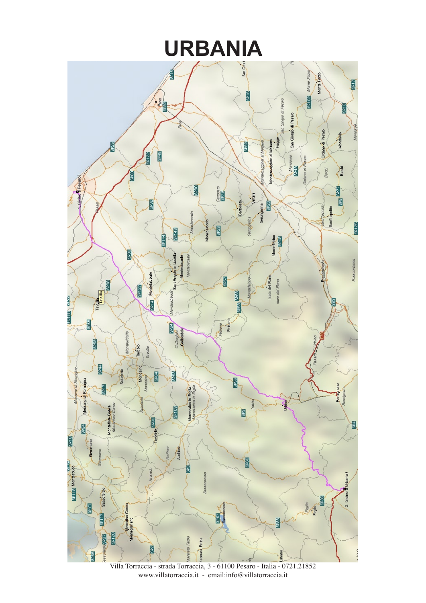

Villa Torraccia - strada Torraccia, 3 - 61100 Pesaro - Italia - 0721.21852 www.villatorraccia.it - email:info@villatorraccia.it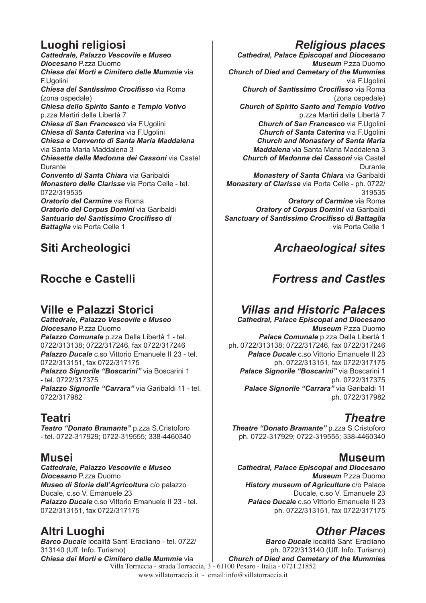## **Luoghi religiosi**

*Cattedrale, Palazzo Vescovile e Museo Diocesano* P.zza Duomo *Chiesa dei Morti e Cimitero delle Mummie* via F.Ugolini *Chiesa del Santissimo Crocifisso* via Roma (zona ospedale) *Chiesa dello Spirito Santo e Tempio Votivo* p.zza Martiri della Libertà 7 *Chiesa di San Francesco* via F.Ugolini *Chiesa di Santa Caterina* via F.Ugolini *Chiesa e Convento di Santa Maria Maddalena*  via Santa Maria Maddalena 3 *Chiesetta della Madonna dei Cassoni* via Castel Durante *Convento di Santa Chiara* via Garibaldi *Monastero delle Clarisse* via Porta Celle - tel. 0722/319535 *Oratorio del Carmine* via Roma *Oratorio del Corpus Domini* via Garibaldi *Santuario del Santissimo Crocifisso di Battaglia* via Porta Celle 1

# **Siti Archeologici**

# **Rocche e Castelli**

### **Ville e Palazzi Storici**

*Cattedrale, Palazzo Vescovile e Museo Diocesano* P.zza Duomo *Palazzo Comunale* p.zza Della Libertà 1 - tel. 0722/313138; 0722/317246, fax 0722/317246 *Palazzo Ducale* c.so Vittorio Emanuele II 23 - tel. 0722/313151, fax 0722/317175 *Palazzo Signorile "Boscarini"* via Boscarini 1 - tel. 0722/317375 *Palazzo Signorile "Carrara"* via Garibaldi 11 - tel. 0722/317982

### **Teatri**

*Teatro "Donato Bramante"* p.zza S.Cristoforo - tel. 0722-317929; 0722-319555; 338-4460340

### **Musei**

*Cattedrale, Palazzo Vescovile e Museo Diocesano* P.zza Duomo *Museo di Storia dell'Agricoltura* c/o palazzo Ducale, c.so V. Emanuele 23 *Palazzo Ducale* c.so Vittorio Emanuele II 23 - tel. 0722/313151, fax 0722/317175

# **Altri Luoghi**

Villa Torraccia - strada Torraccia, 3 - 61100 Pesaro - Italia - 0721.21852 *Barco Ducale* località Sant' Eracliano - tel. 0722/ 313140 (Uff. Info. Turismo) *Chiesa dei Morti e Cimitero delle Mummie* via

# *Religious places*

*Cathedral, Palace Episcopal and Diocesano Museum* P.zza Duomo *Church of Died and Cemetary of the Mummies*  via F.Ugolini *Church of Santissimo Crocifisso* via Roma (zona ospedale) *Church of Spirito Santo and Tempio Votivo* p.zza Martiri della Libertà 7 *Church of San Francesco* via F.Ugolini *Church of Santa Caterina* via F.Ugolini *Church and Monastery of Santa Maria Maddalena* via Santa Maria Maddalena 3 *Church of Madonna dei Cassoni* via Castel Durante *Monastery of Santa Chiara* via Garibaldi *Monastery of Clarisse* via Porta Celle - ph. 0722/ 319535 *Oratory of Carmine* via Roma *Oratory of Corpus Domini* via Garibaldi *Sanctuary of Santissimo Crocifisso di Battaglia* 

via Porta Celle 1

## *Archaeological sites*

# *Fortress and Castles*

### *Villas and Historic Palaces*

*Cathedral, Palace Episcopal and Diocesano Museum* P.zza Duomo *Palace Comunale* p.zza Della Libertà 1 ph. 0722/313138; 0722/317246, fax 0722/317246 *Palace Ducale* c.so Vittorio Emanuele II 23 ph. 0722/313151, fax 0722/317175 *Palace Signorile "Boscarini"* via Boscarini 1 ph. 0722/317375 *Palace Signorile "Carrara"* via Garibaldi 11 ph. 0722/317982

### *Theatre*

*Theatre "Donato Bramante"* p.zza S.Cristoforo ph. 0722-317929; 0722-319555; 338-4460340

### **Museum**

*Cathedral, Palace Episcopal and Diocesano Museum* P.zza Duomo *History museum of Agriculture* c/o Palace Ducale, c.so V. Emanuele 23 **Palace Ducale** c.so Vittorio Emanuele II 23 ph. 0722/313151, fax 0722/317175

### *Other Places*

*Barco Ducale* località Sant' Eracliano ph. 0722/313140 (Uff. Info. Turismo) *Church of Died and Cemetary of the Mummies* 

www.villatorraccia.it - email:info@villatorraccia.it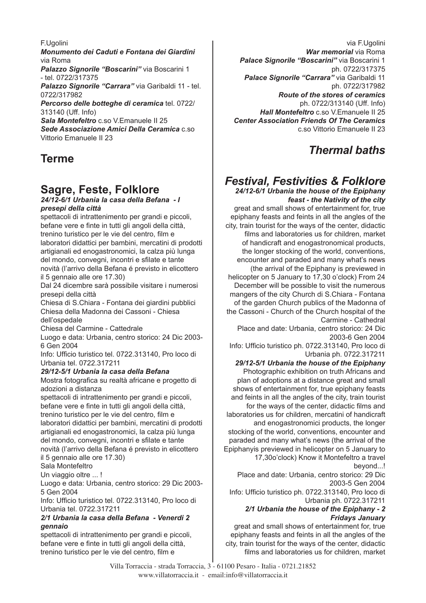F.Ugolini

*Monumento dei Caduti e Fontana dei Giardini* via Roma *Palazzo Signorile "Boscarini"* via Boscarini 1

- tel. 0722/317375 *Palazzo Signorile "Carrara"* via Garibaldi 11 - tel.

0722/317982 *Percorso delle botteghe di ceramica* tel. 0722/

313140 (Uff. Info)

*Sala Montefeltro* c.so V.Emanuele II 25 *Sede Associazione Amici Della Ceramica* c.so Vittorio Emanuele II 23

# **Terme**

# **Sagre, Feste, Folklore**

*24/12-6/1 Urbania la casa della Befana - I presepi della città* 

spettacoli di intrattenimento per grandi e piccoli, befane vere e finte in tutti gli angoli della città, trenino turistico per le vie del centro, film e laboratori didattici per bambini, mercatini di prodotti artigianali ed enogastronomici, la calza più lunga del mondo, convegni, incontri e sfilate e tante novità (l'arrivo della Befana é previsto in elicottero il 5 gennaio alle ore 17.30)

Dal 24 dicembre sarà possibile visitare i numerosi presepi della città

Chiesa di S.Chiara - Fontana dei giardini pubblici Chiesa della Madonna dei Cassoni - Chiesa dell'ospedale

Chiesa del Carmine - Cattedrale

Luogo e data: Urbania, centro storico: 24 Dic 2003- 6 Gen 2004

Info: Ufficio turistico tel. 0722.313140, Pro loco di Urbania tel. 0722.317211

### *29/12-5/1 Urbania la casa della Befana*

Mostra fotografica su realtà africane e progetto di adozioni a distanza

spettacoli di intrattenimento per grandi e piccoli, befane vere e finte in tutti gli angoli della città, trenino turistico per le vie del centro, film e laboratori didattici per bambini, mercatini di prodotti artigianali ed enogastronomici, la calza più lunga del mondo, convegni, incontri e sfilate e tante novità (l'arrivo della Befana é previsto in elicottero il 5 gennaio alle ore 17.30)

Sala Montefeltro

Un viaggio oltre ... !

Luogo e data: Urbania, centro storico: 29 Dic 2003- 5 Gen 2004

Info: Ufficio turistico tel. 0722.313140, Pro loco di Urbania tel. 0722.317211

### *2/1 Urbania la casa della Befana - Venerdi 2 gennaio*

spettacoli di intrattenimento per grandi e piccoli, befane vere e finte in tutti gli angoli della città, trenino turistico per le vie del centro, film e

via F.Ugolini *War memorial* via Roma *Palace Signorile "Boscarini"* via Boscarini 1 ph. 0722/317375 *Palace Signorile "Carrara"* via Garibaldi 11 ph. 0722/317982 *Route of the stores of ceramics* ph. 0722/313140 (Uff. Info) *Hall Montefeltro* c.so V.Emanuele II 25 *Center Association Friends Of The Ceramics*  c.so Vittorio Emanuele II 23

## *Thermal baths*

# *Festival, Festivities & Folklore*

*24/12-6/1 Urbania the house of the Epiphany feast - the Nativity of the city*

great and small shows of entertainment for, true epiphany feasts and feints in all the angles of the city, train tourist for the ways of the center, didactic films and laboratories us for children, market of handicraft and enogastronomical products, the longer stocking of the world, conventions, encounter and paraded and many what's news (the arrival of the Epiphany is previewed in helicopter on 5 January to 17,30 o'clock) From 24 December will be possible to visit the numerous mangers of the city Church di S.Chiara - Fontana of the garden Church publics of the Madonna of the Cassoni - Church of the Church hospital of the Carmine - Cathedral

Place and date: Urbania, centro storico: 24 Dic 2003-6 Gen 2004

Info: Ufficio turistico ph. 0722.313140, Pro loco di Urbania ph. 0722.317211

*29/12-5/1 Urbania the house of the Epiphany* Photographic exhibition on truth Africans and plan of adoptions at a distance great and small shows of entertainment for, true epiphany feasts and feints in all the angles of the city, train tourist for the ways of the center, didactic films and laboratories us for children, mercatini of handicraft and enogastronomici products, the longer stocking of the world, conventions, encounter and paraded and many what's news (the arrival of the Epiphanyis previewed in helicopter on 5 January to 17,30o'clock) Know it Montefeltro a travel

beyond...!

Place and date: Urbania, centro storico: 29 Dic 2003-5 Gen 2004

Info: Ufficio turistico ph. 0722.313140, Pro loco di Urbania ph. 0722.317211

### *2/1 Urbania the house of the Epiphany - 2 Fridays January*

great and small shows of entertainment for, true epiphany feasts and feints in all the angles of the city, train tourist for the ways of the center, didactic films and laboratories us for children, market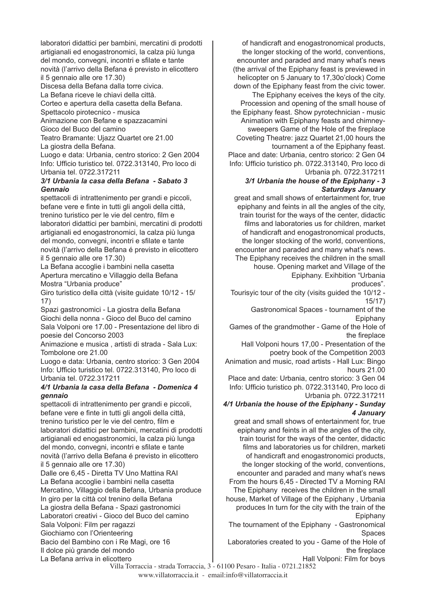laboratori didattici per bambini, mercatini di prodotti artigianali ed enogastronomici, la calza più lunga del mondo, convegni, incontri e sfilate e tante novità (l'arrivo della Befana é previsto in elicottero il 5 gennaio alle ore 17.30)

Discesa della Befana dalla torre civica.

La Befana riceve le chiavi della città.

Corteo e apertura della casetta della Befana.

Spettacolo pirotecnico - musica

Animazione con Befane e spazzacamini

Gioco del Buco del camino

Teatro Bramante: Ujazz Quartet ore 21.00 La giostra della Befana.

Luogo e data: Urbania, centro storico: 2 Gen 2004 Info: Ufficio turistico tel. 0722.313140, Pro loco di Urbania tel. 0722.317211

### *3/1 Urbania la casa della Befana - Sabato 3 Gennaio*

spettacoli di intrattenimento per grandi e piccoli, befane vere e finte in tutti gli angoli della città, trenino turistico per le vie del centro, film e laboratori didattici per bambini, mercatini di prodotti artigianali ed enogastronomici, la calza più lunga del mondo, convegni, incontri e sfilate e tante novità (l'arrivo della Befana é previsto in elicottero il 5 gennaio alle ore 17.30)

La Befana accoglie i bambini nella casetta Apertura mercatino e Villaggio della Befana Mostra "Urbania produce"

Giro turistico della città (visite guidate 10/12 - 15/ 17)

Spazi gastronomici - La giostra della Befana Giochi della nonna - Gioco del Buco del camino Sala Volponi ore 17.00 - Presentazione del libro di poesie del Concorso 2003

Animazione e musica , artisti di strada - Sala Lux: Tombolone ore 21.00

Luogo e data: Urbania, centro storico: 3 Gen 2004 Info: Ufficio turistico tel. 0722.313140, Pro loco di Urbania tel. 0722.317211

#### *4/1 Urbania la casa della Befana - Domenica 4 gennaio*

spettacoli di intrattenimento per grandi e piccoli, befane vere e finte in tutti gli angoli della città, trenino turistico per le vie del centro, film e laboratori didattici per bambini, mercatini di prodotti artigianali ed enogastronomici, la calza più lunga del mondo, convegni, incontri e sfilate e tante novità (l'arrivo della Befana é previsto in elicottero il 5 gennaio alle ore 17.30)

Dalle ore 6,45 - Diretta TV Uno Mattina RAI La Befana accoglie i bambini nella casetta Mercatino, Villaggio della Befana, Urbania produce In giro per la città col trenino della Befana La giostra della Befana - Spazi gastronomici Laboratori creativi - Gioco del Buco del camino Sala Volponi: Film per ragazzi Giochiamo con l'Orienteering Bacio del Bambino con i Re Magi, ore 16 Il dolce più grande del mondo La Befana arriva in elicottero

of handicraft and enogastronomical products, the longer stocking of the world, conventions, encounter and paraded and many what's news (the arrival of the Epiphany feast is previewed in helicopter on 5 January to 17,30o'clock) Come down of the Epiphany feast from the civic tower. The Epiphany eceives the keys of the city. Procession and opening of the small house of the Epiphany feast. Show pyrotechnician - music Animation with Epiphany feasts and chimneysweepers Game of the Hole of the fireplace Coveting Theatre: jazz Quartet 21,00 hours the tournament a of the Epiphany feast. Place and date: Urbania, centro storico: 2 Gen 04 Info: Ufficio turistico ph. 0722.313140, Pro loco di Urbania ph. 0722.317211

### *3/1 Urbania the house of the Epiphany - 3 Saturdays January*

great and small shows of entertainment for, true epiphany and feints in all the angles of the city, train tourist for the ways of the center, didactic films and laboratories us for children, market of handicraft and enogastronomical products, the longer stocking of the world, conventions, encounter and paraded and many what's news. The Epiphany receives the children in the small house. Opening market and Village of the Epiphany. Exihbition "Urbania

produces".

Tourisyic tour of the city (visits guided the 10/12 - 15/17)

Gastronomical Spaces - tournament of the Epiphany

Games of the grandmother - Game of the Hole of the fireplace

Hall Volponi hours 17,00 - Presentation of the poetry book of the Competition 2003

Animation and music, road artists - Hall Lux: Bingo hours 21.00

Place and date: Urbania, centro storico: 3 Gen 04 Info: Ufficio turistico ph. 0722.313140, Pro loco di Urbania ph. 0722.317211

### *4/1 Urbania the house of the Epiphany - Sunday 4 January*

great and small shows of entertainment for, true epiphany and feints in all the angles of the city, train tourist for the ways of the center, didactic films and laboratories us for children, marketi of handicraft and enogastronomici products, the longer stocking of the world, conventions, encounter and paraded and many what's news From the hours 6,45 - Directed TV a Morning RAI The Epiphany receives the children in the small house, Market of Village of the Epiphany , Urbania produces In turn for the city with the train of the Epiphany

The tournament of the Epiphany - Gastronomical Spaces

Laboratories created to you - Game of the Hole of the fireplace

Hall Volponi: Film for boys

Villa Torraccia - strada Torraccia, 3 - 61100 Pesaro - Italia - 0721.21852 www.villatorraccia.it - email:info@villatorraccia.it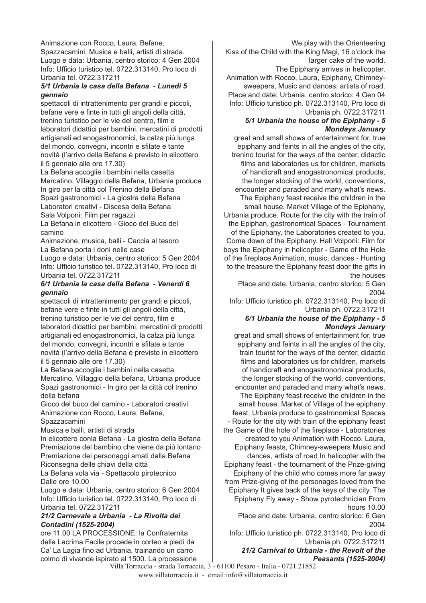Animazione con Rocco, Laura, Befane, Spazzacamini, Musica e balli, artisti di strada. Luogo e data: Urbania, centro storico: 4 Gen 2004 Info: Ufficio turistico tel. 0722.313140, Pro loco di Urbania tel. 0722.317211

### *5/1 Urbania la casa della Befana - Lunedi 5 gennaio*

spettacoli di intrattenimento per grandi e piccoli, befane vere e finte in tutti gli angoli della città, trenino turistico per le vie del centro, film e laboratori didattici per bambini, mercatini di prodotti artigianali ed enogastronomici, la calza più lunga del mondo, convegni, incontri e sfilate e tante novità (l'arrivo della Befana é previsto in elicottero il 5 gennaio alle ore 17.30)

La Befana accoglie i bambini nella casetta Mercatino, Villaggio della Befana, Urbania produce In giro per la città col Trenino della Befana Spazi gastronomici - La giostra della Befana Laboratori creativi - Discesa della Befana Sala Volponi: Film per ragazzi

La Befana in elicottero - Gioco del Buco del camino

Animazione, musica, balli - Caccia al tesoro La Befana porta i doni nelle case

Luogo e data: Urbania, centro storico: 5 Gen 2004 Info: Ufficio turistico tel. 0722.313140, Pro loco di Urbania tel. 0722.317211

#### *6/1 Urbania la casa della Befana - Venerdi 6 gennaio*

spettacoli di intrattenimento per grandi e piccoli, befane vere e finte in tutti gli angoli della città, trenino turistico per le vie del centro, film e laboratori didattici per bambini, mercatini di prodotti artigianali ed enogastronomici, la calza più lunga del mondo, convegni, incontri e sfilate e tante novità (l'arrivo della Befana é previsto in elicottero il 5 gennaio alle ore 17.30)

La Befana accoglie i bambini nella casetta Mercatino, Villaggio della befana, Urbania produce Spazi gastronomici - In giro per la città col trenino della befana

Gioco del buco del camino - Laboratori creativi Animazione con Rocco, Laura, Befane, Spazzacamini

Musica e balli, artisti di strada

In elicottero conla Befana - La giostra della Befana Premiazione del bambino che viene da più lontano Premiazione dei personaggi amati dalla Befana Riconsegna delle chiavi della città

La Befana vola via - Spettacolo pirotecnico Dalle ore 10.00

Luogo e data: Urbania, centro storico: 6 Gen 2004 Info: Ufficio turistico tel. 0722.313140, Pro loco di Urbania tel. 0722.317211

### *21/2 Carnevale a Urbania - La Rivolta dei Contadini (1525-2004)*

ore 11.00 LA PROCESSIONE: la Confraternita della Lacrima Facile procede in corteo a piedi da Ca' La Lagia fino ad Urbania, trainando un carro colmo di vivande ispirato al 1500. La processione

We play with the Orienteering Kiss of the Child with the King Magi, 16 o'clock the larger cake of the world. The Epiphany arrives in helicopter. Animation with Rocco, Laura, Epiphany, Chimneysweepers, Music and dances, artists of road. Place and date: Urbania, centro storico: 4 Gen 04 Info: Ufficio turistico ph. 0722.313140, Pro loco di Urbania ph. 0722.317211

#### *5/1 Urbania the house of the Epiphany - 5 Mondays January*

great and small shows of entertainment for, true epiphany and feints in all the angles of the city, trenino tourist for the ways of the center, didactic films and laboratories us for children, markets of handicraft and enogastronomical products, the longer stocking of the world, conventions, encounter and paraded and many what's news. The Epiphany feast receive the children in the small house. Market Village of the Epiphany, Urbania produce. Route for the city with the train of the Epiphan, gastronomical Spaces - Tournament of the Epiphany, the Laboratories created to you. Come down of the Epiphany. Hall Volponi: Film for boys the Epiphany in helicopter - Game of the Hole of the fireplace Animation, music, dances - Hunting to the treasure the Epiphany feast door the gifts in the houses

Place and date: Urbania, centro storico: 5 Gen 2004

Info: Ufficio turistico ph. 0722.313140, Pro loco di Urbania ph. 0722.317211

### *6/1 Urbania the house of the Epiphany - 5 Mondays January*

great and small shows of entertainment for, true epiphany and feints in all the angles of the city, train tourist for the ways of the center, didactic films and laboratories us for children, markets of handicraft and enogastronomical products, the longer stocking of the world, conventions, encounter and paraded and many what's news. The Epiphany feast receive the children in the small house. Market of Village of the epiphany feast, Urbania produce to gastronomical Spaces - Route for the city with train of the epiphany feast the Game of the hole of the fireplace - Laboratories created to you Animation with Rocco, Laura, Epiphany feasts, Chimney-sweepers Music and dances, artists of road In helicopter with the Epiphany feast - the tournament of the Prize-giving Epiphany of the child who comes more far away from Prize-giving of the personages loved from the Epiphany It gives back of the keys of the city. The Epiphany Fly away - Show pyrotechnician From hours 10.00

Place and date: Urbania, centro storico: 6 Gen 2004

Info: Ufficio turistico ph. 0722.313140, Pro loco di Urbania ph. 0722.317211

*21/2 Carnival to Urbania - the Revolt of the Peasants (1525-2004)* 

Villa Torraccia - strada Torraccia, 3 - 61100 Pesaro - Italia - 0721.21852 www.villatorraccia.it - email:info@villatorraccia.it